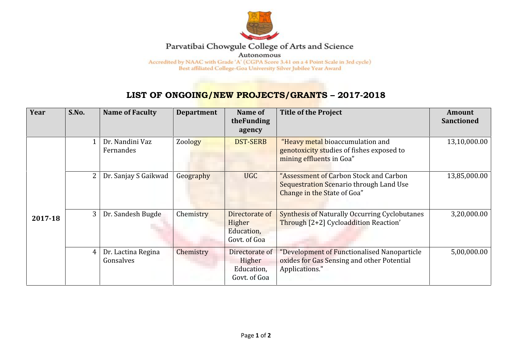

## Parvatibai Chowgule College of Arts and Science

Autonomous

Accredited by NAAC with Grade 'A' (CGPA Score 3.41 on a 4 Point Scale in 3rd cycle) Best affiliated College-Goa University Silver Jubilee Year Award

## **LIST OF ONGOING/NEW PROJECTS/GRANTS – 2017-2018**

| Year    | S.No.          | <b>Name of Faculty</b>          | <b>Department</b> | Name of<br>theFunding<br>agency                        | <b>Title of the Project</b>                                                                                      | <b>Amount</b><br><b>Sanctioned</b> |
|---------|----------------|---------------------------------|-------------------|--------------------------------------------------------|------------------------------------------------------------------------------------------------------------------|------------------------------------|
|         | $\mathbf{1}$   | Dr. Nandini Vaz<br>Fernandes    | Zoology           | <b>DST-SERB</b>                                        | "Heavy metal bioaccumulation and<br>genotoxicity studies of fishes exposed to<br>mining effluents in Goa"        | 13,10,000.00                       |
| 2017-18 | $\overline{2}$ | Dr. Sanjay S Gaikwad            | Geography         | <b>UGC</b>                                             | "Assessment of Carbon Stock and Carbon<br>Sequestration Scenario through Land Use<br>Change in the State of Goa" | 13,85,000.00                       |
|         | 3              | Dr. Sandesh Bugde               | Chemistry         | Directorate of<br>Higher<br>Education,<br>Govt. of Goa | <b>Synthesis of Naturally Occurring Cyclobutanes</b><br>Through [2+2] Cycloaddition Reaction'                    | 3,20,000.00                        |
|         | $\overline{4}$ | Dr. Lactina Regina<br>Gonsalves | Chemistry         | Directorate of<br>Higher<br>Education,<br>Govt. of Goa | "Development of Functionalised Nanoparticle<br>oxides for Gas Sensing and other Potential<br>Applications."      | 5,00,000.00                        |